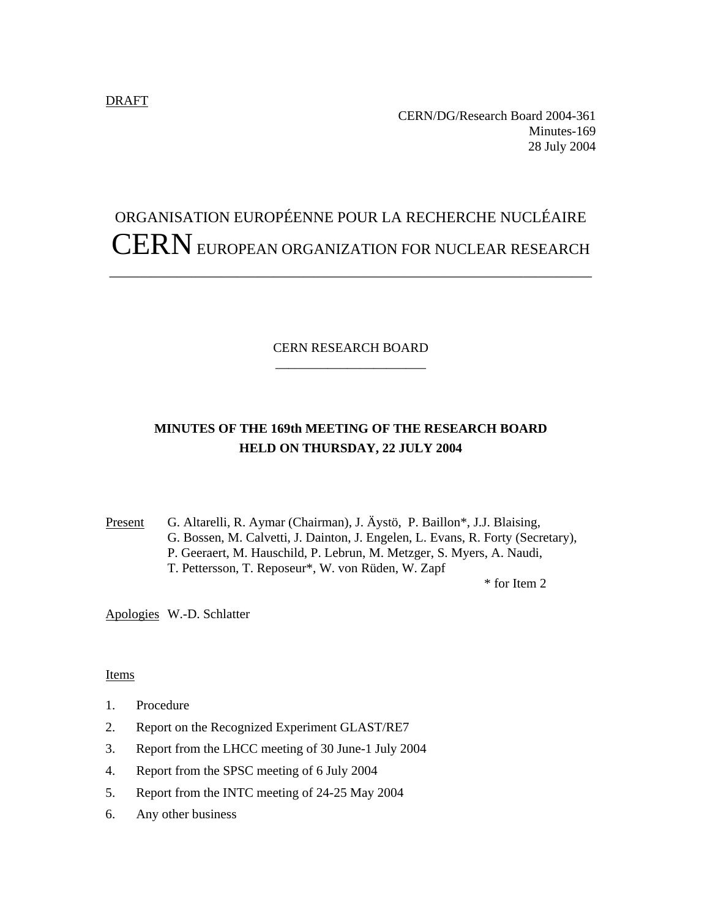#### DRAFT

CERN/DG/Research Board 2004-361 Minutes-169 28 July 2004

# ORGANISATION EUROPÉENNE POUR LA RECHERCHE NUCLÉAIRE CERN EUROPEAN ORGANIZATION FOR NUCLEAR RESEARCH

\_\_\_\_\_\_\_\_\_\_\_\_\_\_\_\_\_\_\_\_\_\_\_\_\_\_\_\_\_\_\_\_\_\_\_\_\_\_\_\_\_\_\_\_\_\_\_\_\_\_\_\_\_\_\_\_\_\_\_\_\_\_\_

# CERN RESEARCH BOARD \_\_\_\_\_\_\_\_\_\_\_\_\_\_\_\_\_\_\_\_\_\_\_

# **MINUTES OF THE 169th MEETING OF THE RESEARCH BOARD HELD ON THURSDAY, 22 JULY 2004**

Present G. Altarelli, R. Aymar (Chairman), J. Äystö, P. Baillon\*, J.J. Blaising, G. Bossen, M. Calvetti, J. Dainton, J. Engelen, L. Evans, R. Forty (Secretary), P. Geeraert, M. Hauschild, P. Lebrun, M. Metzger, S. Myers, A. Naudi, T. Pettersson, T. Reposeur\*, W. von Rüden, W. Zapf

\* for Item 2

Apologies W.-D. Schlatter

#### Items

- 1. Procedure
- 2. Report on the Recognized Experiment GLAST/RE7
- 3. Report from the LHCC meeting of 30 June-1 July 2004
- 4. Report from the SPSC meeting of 6 July 2004
- 5. Report from the INTC meeting of 24-25 May 2004
- 6. Any other business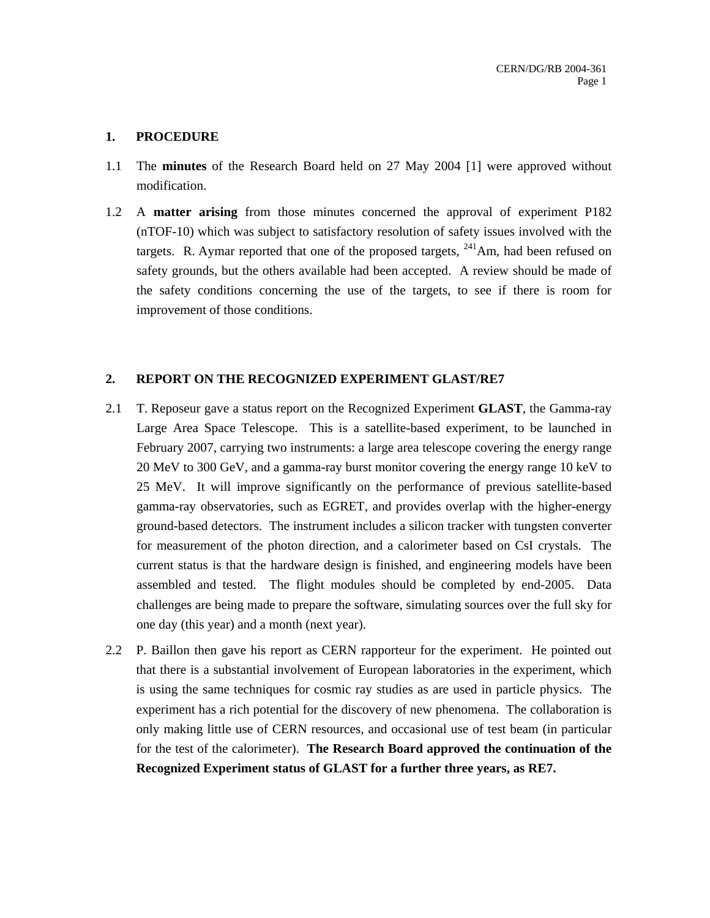### **1. PROCEDURE**

- 1.1 The **minutes** of the Research Board held on 27 May 2004 [1] were approved without modification.
- 1.2 A **matter arising** from those minutes concerned the approval of experiment P182 (nTOF-10) which was subject to satisfactory resolution of safety issues involved with the targets. R. Aymar reported that one of the proposed targets,  $^{241}$ Am, had been refused on safety grounds, but the others available had been accepted. A review should be made of the safety conditions concerning the use of the targets, to see if there is room for improvement of those conditions.

# **2. REPORT ON THE RECOGNIZED EXPERIMENT GLAST/RE7**

- 2.1 T. Reposeur gave a status report on the Recognized Experiment **GLAST**, the Gamma-ray Large Area Space Telescope. This is a satellite-based experiment, to be launched in February 2007, carrying two instruments: a large area telescope covering the energy range 20 MeV to 300 GeV, and a gamma-ray burst monitor covering the energy range 10 keV to 25 MeV. It will improve significantly on the performance of previous satellite-based gamma-ray observatories, such as EGRET, and provides overlap with the higher-energy ground-based detectors. The instrument includes a silicon tracker with tungsten converter for measurement of the photon direction, and a calorimeter based on CsI crystals. The current status is that the hardware design is finished, and engineering models have been assembled and tested. The flight modules should be completed by end-2005. Data challenges are being made to prepare the software, simulating sources over the full sky for one day (this year) and a month (next year).
- 2.2 P. Baillon then gave his report as CERN rapporteur for the experiment. He pointed out that there is a substantial involvement of European laboratories in the experiment, which is using the same techniques for cosmic ray studies as are used in particle physics. The experiment has a rich potential for the discovery of new phenomena. The collaboration is only making little use of CERN resources, and occasional use of test beam (in particular for the test of the calorimeter). **The Research Board approved the continuation of the Recognized Experiment status of GLAST for a further three years, as RE7.**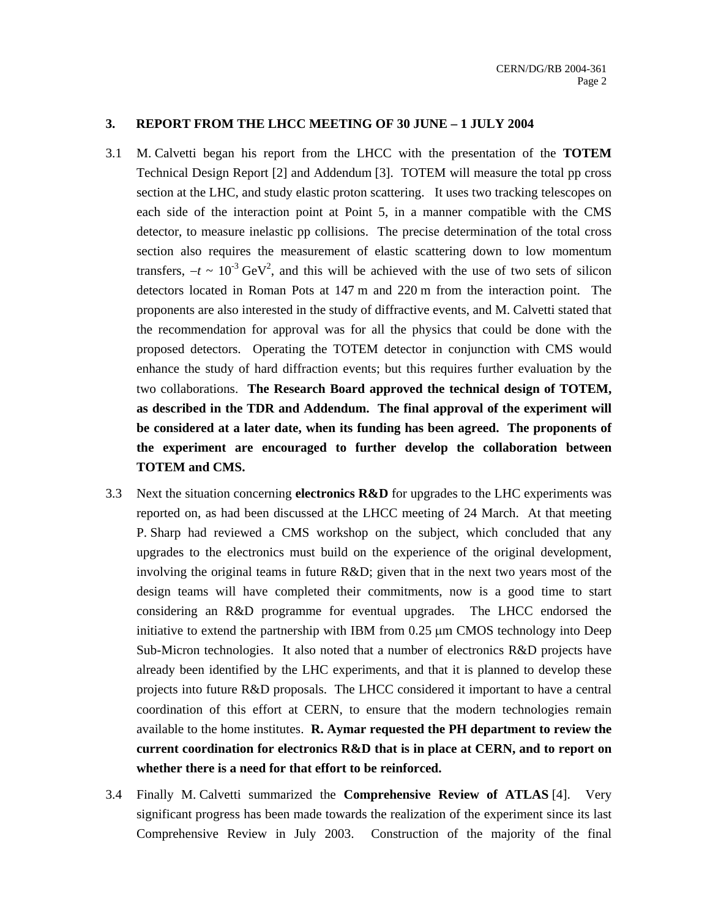#### **3. REPORT FROM THE LHCC MEETING OF 30 JUNE – 1 JULY 2004**

- 3.1 M. Calvetti began his report from the LHCC with the presentation of the **TOTEM** Technical Design Report [2] and Addendum [3]. TOTEM will measure the total pp cross section at the LHC, and study elastic proton scattering. It uses two tracking telescopes on each side of the interaction point at Point 5, in a manner compatible with the CMS detector, to measure inelastic pp collisions. The precise determination of the total cross section also requires the measurement of elastic scattering down to low momentum transfers,  $-t \sim 10^{-3} \text{ GeV}^2$ , and this will be achieved with the use of two sets of silicon detectors located in Roman Pots at 147 m and 220 m from the interaction point. The proponents are also interested in the study of diffractive events, and M. Calvetti stated that the recommendation for approval was for all the physics that could be done with the proposed detectors. Operating the TOTEM detector in conjunction with CMS would enhance the study of hard diffraction events; but this requires further evaluation by the two collaborations. **The Research Board approved the technical design of TOTEM, as described in the TDR and Addendum. The final approval of the experiment will be considered at a later date, when its funding has been agreed. The proponents of the experiment are encouraged to further develop the collaboration between TOTEM and CMS.**
- 3.3 Next the situation concerning **electronics R&D** for upgrades to the LHC experiments was reported on, as had been discussed at the LHCC meeting of 24 March. At that meeting P. Sharp had reviewed a CMS workshop on the subject, which concluded that any upgrades to the electronics must build on the experience of the original development, involving the original teams in future R&D; given that in the next two years most of the design teams will have completed their commitments, now is a good time to start considering an R&D programme for eventual upgrades. The LHCC endorsed the initiative to extend the partnership with IBM from 0.25 µm CMOS technology into Deep Sub-Micron technologies. It also noted that a number of electronics R&D projects have already been identified by the LHC experiments, and that it is planned to develop these projects into future R&D proposals. The LHCC considered it important to have a central coordination of this effort at CERN, to ensure that the modern technologies remain available to the home institutes. **R. Aymar requested the PH department to review the current coordination for electronics R&D that is in place at CERN, and to report on whether there is a need for that effort to be reinforced.**
- 3.4 Finally M. Calvetti summarized the **Comprehensive Review of ATLAS** [4]. Very significant progress has been made towards the realization of the experiment since its last Comprehensive Review in July 2003. Construction of the majority of the final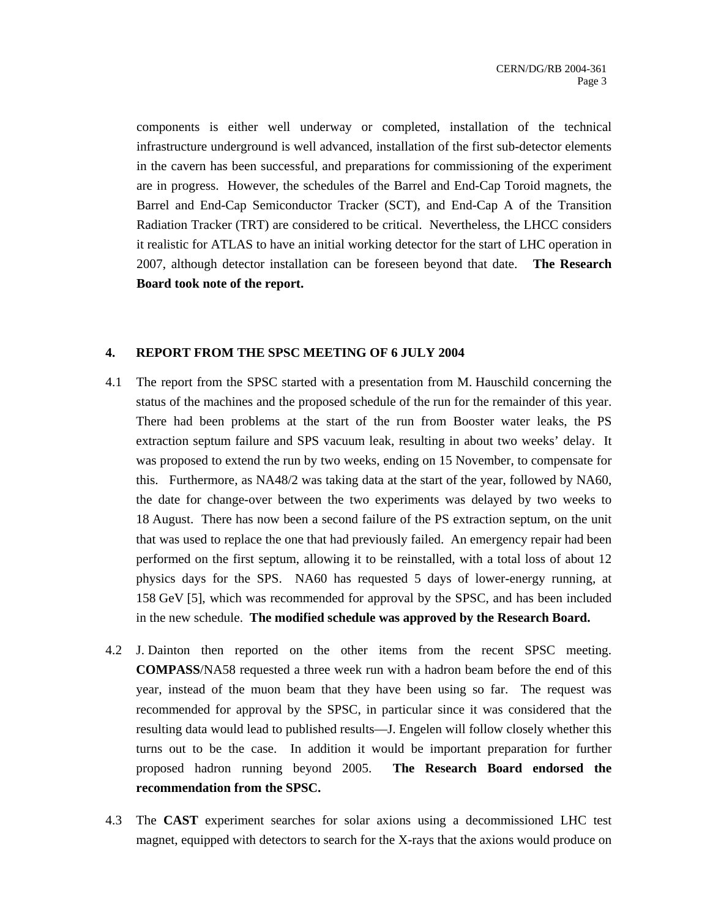components is either well underway or completed, installation of the technical infrastructure underground is well advanced, installation of the first sub-detector elements in the cavern has been successful, and preparations for commissioning of the experiment are in progress. However, the schedules of the Barrel and End-Cap Toroid magnets, the Barrel and End-Cap Semiconductor Tracker (SCT), and End-Cap A of the Transition Radiation Tracker (TRT) are considered to be critical. Nevertheless, the LHCC considers it realistic for ATLAS to have an initial working detector for the start of LHC operation in 2007, although detector installation can be foreseen beyond that date. **The Research Board took note of the report.**

#### **4. REPORT FROM THE SPSC MEETING OF 6 JULY 2004**

- 4.1 The report from the SPSC started with a presentation from M. Hauschild concerning the status of the machines and the proposed schedule of the run for the remainder of this year. There had been problems at the start of the run from Booster water leaks, the PS extraction septum failure and SPS vacuum leak, resulting in about two weeks' delay. It was proposed to extend the run by two weeks, ending on 15 November, to compensate for this. Furthermore, as NA48/2 was taking data at the start of the year, followed by NA60, the date for change-over between the two experiments was delayed by two weeks to 18 August. There has now been a second failure of the PS extraction septum, on the unit that was used to replace the one that had previously failed. An emergency repair had been performed on the first septum, allowing it to be reinstalled, with a total loss of about 12 physics days for the SPS. NA60 has requested 5 days of lower-energy running, at 158 GeV [5], which was recommended for approval by the SPSC, and has been included in the new schedule. **The modified schedule was approved by the Research Board.**
- 4.2 J. Dainton then reported on the other items from the recent SPSC meeting. **COMPASS**/NA58 requested a three week run with a hadron beam before the end of this year, instead of the muon beam that they have been using so far. The request was recommended for approval by the SPSC, in particular since it was considered that the resulting data would lead to published results—J. Engelen will follow closely whether this turns out to be the case. In addition it would be important preparation for further proposed hadron running beyond 2005. **The Research Board endorsed the recommendation from the SPSC.**
- 4.3 The **CAST** experiment searches for solar axions using a decommissioned LHC test magnet, equipped with detectors to search for the X-rays that the axions would produce on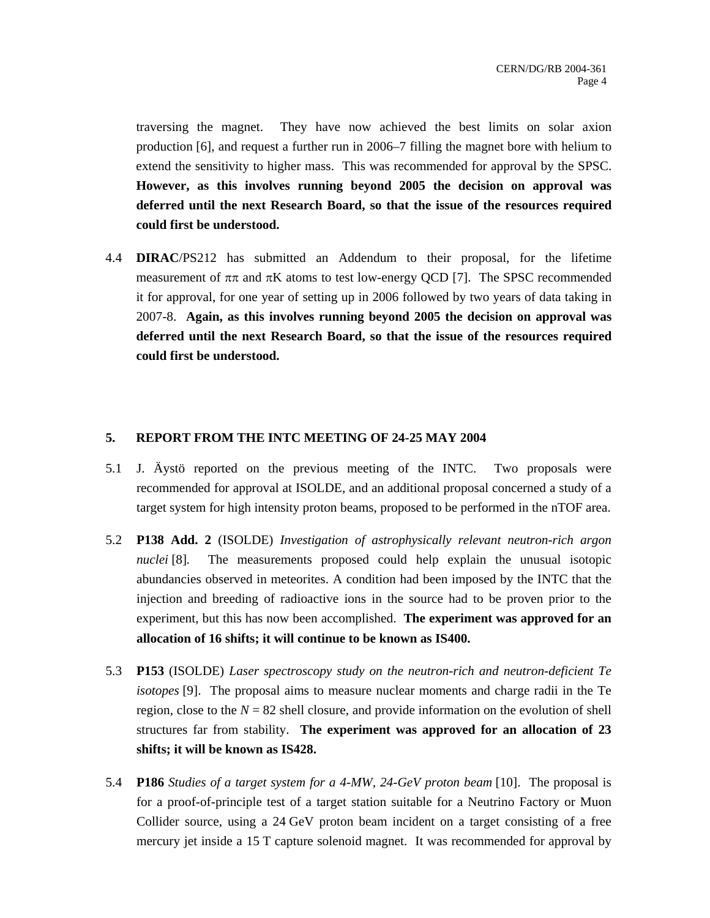traversing the magnet. They have now achieved the best limits on solar axion production [6], and request a further run in 2006–7 filling the magnet bore with helium to extend the sensitivity to higher mass. This was recommended for approval by the SPSC. **However, as this involves running beyond 2005 the decision on approval was deferred until the next Research Board, so that the issue of the resources required could first be understood.**

4.4 **DIRAC**/PS212 has submitted an Addendum to their proposal, for the lifetime measurement of  $\pi\pi$  and  $\pi$ K atoms to test low-energy QCD [7]. The SPSC recommended it for approval, for one year of setting up in 2006 followed by two years of data taking in 2007-8. **Again, as this involves running beyond 2005 the decision on approval was deferred until the next Research Board, so that the issue of the resources required could first be understood.** 

# **5. REPORT FROM THE INTC MEETING OF 24-25 MAY 2004**

- 5.1 J. Äystö reported on the previous meeting of the INTC. Two proposals were recommended for approval at ISOLDE, and an additional proposal concerned a study of a target system for high intensity proton beams, proposed to be performed in the nTOF area.
- 5.2 **P138 Add. 2** (ISOLDE) *Investigation of astrophysically relevant neutron-rich argon nuclei* [8]. The measurements proposed could help explain the unusual isotopic abundancies observed in meteorites. A condition had been imposed by the INTC that the injection and breeding of radioactive ions in the source had to be proven prior to the experiment, but this has now been accomplished. **The experiment was approved for an allocation of 16 shifts; it will continue to be known as IS400.**
- 5.3 **P153** (ISOLDE) *Laser spectroscopy study on the neutron-rich and neutron-deficient Te isotopes* [9]. The proposal aims to measure nuclear moments and charge radii in the Te region, close to the  $N = 82$  shell closure, and provide information on the evolution of shell structures far from stability. **The experiment was approved for an allocation of 23 shifts; it will be known as IS428.**
- 5.4 **P186** *Studies of a target system for a 4-MW, 24-GeV proton beam* [10]. The proposal is for a proof-of-principle test of a target station suitable for a Neutrino Factory or Muon Collider source, using a 24 GeV proton beam incident on a target consisting of a free mercury jet inside a 15 T capture solenoid magnet. It was recommended for approval by